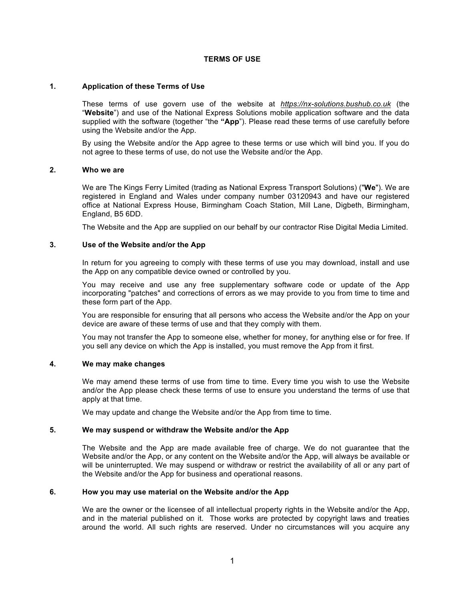## **TERMS OF USE**

# **1. Application of these Terms of Use**

These terms of use govern use of the website at *https://nx-solutions.bushub.co.uk* (the "**Website**") and use of the National Express Solutions mobile application software and the data supplied with the software (together "the **"App**"). Please read these terms of use carefully before using the Website and/or the App.

By using the Website and/or the App agree to these terms or use which will bind you. If you do not agree to these terms of use, do not use the Website and/or the App.

### **2. Who we are**

We are The Kings Ferry Limited (trading as National Express Transport Solutions) ("**We**"). We are registered in England and Wales under company number 03120943 and have our registered office at National Express House, Birmingham Coach Station, Mill Lane, Digbeth, Birmingham, England, B5 6DD.

The Website and the App are supplied on our behalf by our contractor Rise Digital Media Limited.

### **3. Use of the Website and/or the App**

In return for you agreeing to comply with these terms of use you may download, install and use the App on any compatible device owned or controlled by you.

You may receive and use any free supplementary software code or update of the App incorporating "patches" and corrections of errors as we may provide to you from time to time and these form part of the App.

You are responsible for ensuring that all persons who access the Website and/or the App on your device are aware of these terms of use and that they comply with them.

You may not transfer the App to someone else, whether for money, for anything else or for free. If you sell any device on which the App is installed, you must remove the App from it first.

#### **4. We may make changes**

We may amend these terms of use from time to time. Every time you wish to use the Website and/or the App please check these terms of use to ensure you understand the terms of use that apply at that time.

We may update and change the Website and/or the App from time to time.

#### **5. We may suspend or withdraw the Website and/or the App**

The Website and the App are made available free of charge. We do not guarantee that the Website and/or the App, or any content on the Website and/or the App, will always be available or will be uninterrupted. We may suspend or withdraw or restrict the availability of all or any part of the Website and/or the App for business and operational reasons.

# **6. How you may use material on the Website and/or the App**

We are the owner or the licensee of all intellectual property rights in the Website and/or the App, and in the material published on it. Those works are protected by copyright laws and treaties around the world. All such rights are reserved. Under no circumstances will you acquire any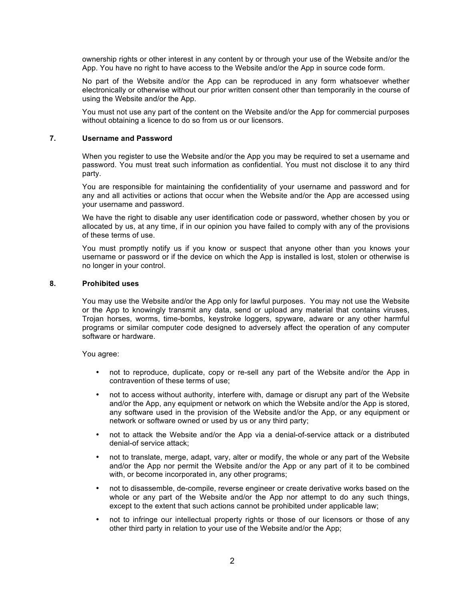ownership rights or other interest in any content by or through your use of the Website and/or the App. You have no right to have access to the Website and/or the App in source code form.

No part of the Website and/or the App can be reproduced in any form whatsoever whether electronically or otherwise without our prior written consent other than temporarily in the course of using the Website and/or the App.

You must not use any part of the content on the Website and/or the App for commercial purposes without obtaining a licence to do so from us or our licensors.

### **7. Username and Password**

When you register to use the Website and/or the App you may be required to set a username and password. You must treat such information as confidential. You must not disclose it to any third party.

You are responsible for maintaining the confidentiality of your username and password and for any and all activities or actions that occur when the Website and/or the App are accessed using your username and password.

We have the right to disable any user identification code or password, whether chosen by you or allocated by us, at any time, if in our opinion you have failed to comply with any of the provisions of these terms of use.

You must promptly notify us if you know or suspect that anyone other than you knows your username or password or if the device on which the App is installed is lost, stolen or otherwise is no longer in your control.

# **8. Prohibited uses**

You may use the Website and/or the App only for lawful purposes. You may not use the Website or the App to knowingly transmit any data, send or upload any material that contains viruses, Trojan horses, worms, time-bombs, keystroke loggers, spyware, adware or any other harmful programs or similar computer code designed to adversely affect the operation of any computer software or hardware.

#### You agree:

- not to reproduce, duplicate, copy or re-sell any part of the Website and/or the App in contravention of these terms of use;
- not to access without authority, interfere with, damage or disrupt any part of the Website and/or the App, any equipment or network on which the Website and/or the App is stored, any software used in the provision of the Website and/or the App, or any equipment or network or software owned or used by us or any third party;
- not to attack the Website and/or the App via a denial-of-service attack or a distributed denial-of service attack;
- not to translate, merge, adapt, vary, alter or modify, the whole or any part of the Website and/or the App nor permit the Website and/or the App or any part of it to be combined with, or become incorporated in, any other programs;
- not to disassemble, de-compile, reverse engineer or create derivative works based on the whole or any part of the Website and/or the App nor attempt to do any such things, except to the extent that such actions cannot be prohibited under applicable law;
- not to infringe our intellectual property rights or those of our licensors or those of any other third party in relation to your use of the Website and/or the App;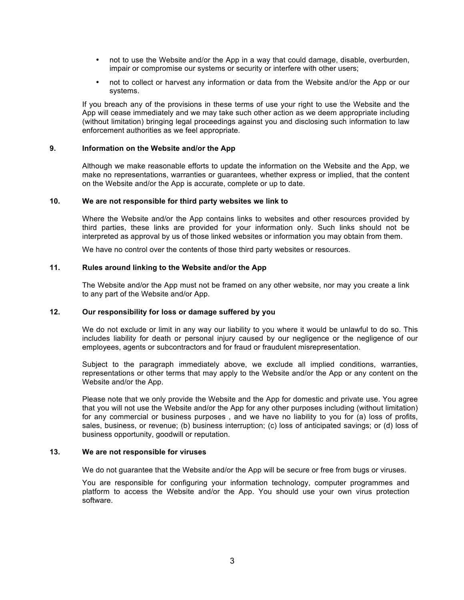- not to use the Website and/or the App in a way that could damage, disable, overburden, impair or compromise our systems or security or interfere with other users;
- not to collect or harvest any information or data from the Website and/or the App or our systems.

If you breach any of the provisions in these terms of use your right to use the Website and the App will cease immediately and we may take such other action as we deem appropriate including (without limitation) bringing legal proceedings against you and disclosing such information to law enforcement authorities as we feel appropriate.

### **9. Information on the Website and/or the App**

Although we make reasonable efforts to update the information on the Website and the App, we make no representations, warranties or guarantees, whether express or implied, that the content on the Website and/or the App is accurate, complete or up to date.

### **10. We are not responsible for third party websites we link to**

Where the Website and/or the App contains links to websites and other resources provided by third parties, these links are provided for your information only. Such links should not be interpreted as approval by us of those linked websites or information you may obtain from them.

We have no control over the contents of those third party websites or resources.

# **11. Rules around linking to the Website and/or the App**

The Website and/or the App must not be framed on any other website, nor may you create a link to any part of the Website and/or App.

# **12. Our responsibility for loss or damage suffered by you**

We do not exclude or limit in any way our liability to you where it would be unlawful to do so. This includes liability for death or personal injury caused by our negligence or the negligence of our employees, agents or subcontractors and for fraud or fraudulent misrepresentation.

Subject to the paragraph immediately above, we exclude all implied conditions, warranties, representations or other terms that may apply to the Website and/or the App or any content on the Website and/or the App.

Please note that we only provide the Website and the App for domestic and private use. You agree that you will not use the Website and/or the App for any other purposes including (without limitation) for any commercial or business purposes , and we have no liability to you for (a) loss of profits, sales, business, or revenue; (b) business interruption; (c) loss of anticipated savings; or (d) loss of business opportunity, goodwill or reputation.

#### **13. We are not responsible for viruses**

We do not quarantee that the Website and/or the App will be secure or free from bugs or viruses.

You are responsible for configuring your information technology, computer programmes and platform to access the Website and/or the App. You should use your own virus protection software.